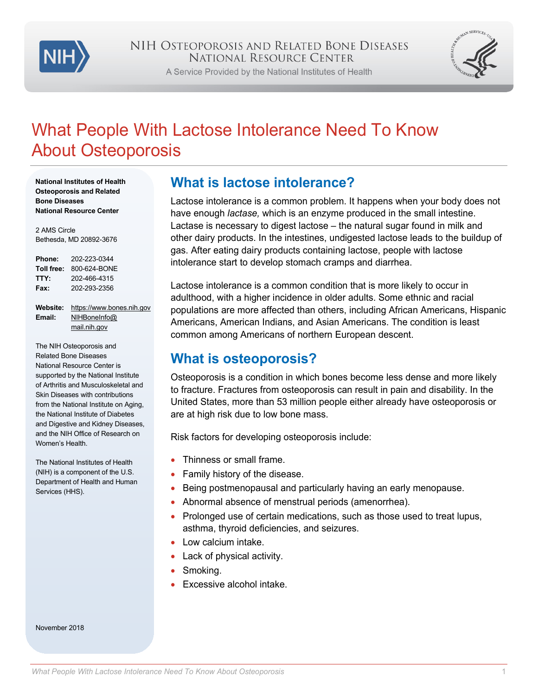

A Service Provided by the National Institutes of Health



# What People With Lactose Intolerance Need To Know About Osteoporosis

**National Institutes of Health Osteoporosis and Related Bone Diseases National Resource Center**

2 AMS Circle Bethesda, MD 20892-3676

| Phone:     | 202-223-0344 |
|------------|--------------|
| Toll free: | 800-624-BONE |
| TTY:       | 202-466-4315 |
| Fax:       | 202-293-2356 |

**Website:** [https://www.bones.nih.gov](https://www.bones.nih.gov/) **Email:** [NIHBoneInfo@](mailto:NIHBoneInfo@mail.nih.gov) [mail.nih.gov](mailto:NIHBoneInfo@mail.nih.gov)

The NIH Osteoporosis and Related Bone Diseases National Resource Center is supported by the National Institute of Arthritis and Musculoskeletal and Skin Diseases with contributions from the National Institute on Aging, the National Institute of Diabetes and Digestive and Kidney Diseases, and the NIH Office of Research on Women's Health.

The National Institutes of Health (NIH) is a component of the U.S. Department of Health and Human Services (HHS).

**What is lactose intolerance?**

Lactose intolerance is a common problem. It happens when your body does not have enough *lactase,* which is an enzyme produced in the small intestine. Lactase is necessary to digest lactose – the natural sugar found in milk and other dairy products. In the intestines, undigested lactose leads to the buildup of gas. After eating dairy products containing lactose, people with lactose intolerance start to develop stomach cramps and diarrhea.

Lactose intolerance is a common condition that is more likely to occur in adulthood, with a higher incidence in older adults. Some ethnic and racial populations are more affected than others, including African Americans, Hispanic Americans, American Indians, and Asian Americans. The condition is least common among Americans of northern European descent.

### **What is osteoporosis?**

Osteoporosis is a condition in which bones become less dense and more likely to fracture. Fractures from osteoporosis can result in pain and disability. In the United States, more than 53 million people either already have osteoporosis or are at high risk due to low bone mass.

Risk factors for developing osteoporosis include:

- Thinness or small frame.
- Family history of the disease.
- Being postmenopausal and particularly having an early menopause.
- Abnormal absence of menstrual periods (amenorrhea).
- Prolonged use of certain medications, such as those used to treat lupus, asthma, thyroid deficiencies, and seizures.
- Low calcium intake.
- Lack of physical activity.
- Smoking.
- Excessive alcohol intake.

November 2018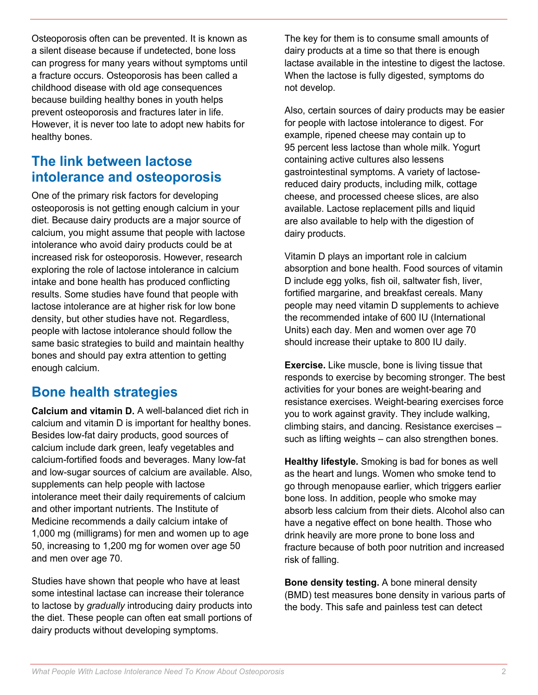Osteoporosis often can be prevented. It is known as a silent disease because if undetected, bone loss can progress for many years without symptoms until a fracture occurs. Osteoporosis has been called a childhood disease with old age consequences because building healthy bones in youth helps prevent osteoporosis and fractures later in life. However, it is never too late to adopt new habits for healthy bones.

## **The link between lactose intolerance and osteoporosis**

One of the primary risk factors for developing osteoporosis is not getting enough calcium in your diet. Because dairy products are a major source of calcium, you might assume that people with lactose intolerance who avoid dairy products could be at increased risk for osteoporosis. However, research exploring the role of lactose intolerance in calcium intake and bone health has produced conflicting results. Some studies have found that people with lactose intolerance are at higher risk for low bone density, but other studies have not. Regardless, people with lactose intolerance should follow the same basic strategies to build and maintain healthy bones and should pay extra attention to getting enough calcium.

### **Bone health strategies**

**Calcium and vitamin D.** A well-balanced diet rich in calcium and vitamin D is important for healthy bones. Besides low-fat dairy products, good sources of calcium include dark green, leafy vegetables and calcium-fortified foods and beverages. Many low-fat and low-sugar sources of calcium are available. Also, supplements can help people with lactose intolerance meet their daily requirements of calcium and other important nutrients. The Institute of Medicine recommends a daily calcium intake of 1,000 mg (milligrams) for men and women up to age 50, increasing to 1,200 mg for women over age 50 and men over age 70.

Studies have shown that people who have at least some intestinal lactase can increase their tolerance to lactose by *gradually* introducing dairy products into the diet. These people can often eat small portions of dairy products without developing symptoms.

The key for them is to consume small amounts of dairy products at a time so that there is enough lactase available in the intestine to digest the lactose. When the lactose is fully digested, symptoms do not develop.

Also, certain sources of dairy products may be easier for people with lactose intolerance to digest. For example, ripened cheese may contain up to 95 percent less lactose than whole milk. Yogurt containing active cultures also lessens gastrointestinal symptoms. A variety of lactosereduced dairy products, including milk, cottage cheese, and processed cheese slices, are also available. Lactose replacement pills and liquid are also available to help with the digestion of dairy products.

Vitamin D plays an important role in calcium absorption and bone health. Food sources of vitamin D include egg yolks, fish oil, saltwater fish, liver, fortified margarine, and breakfast cereals. Many people may need vitamin D supplements to achieve the recommended intake of 600 IU (International Units) each day. Men and women over age 70 should increase their uptake to 800 IU daily.

**Exercise.** Like muscle, bone is living tissue that responds to exercise by becoming stronger. The best activities for your bones are weight-bearing and resistance exercises. Weight-bearing exercises force you to work against gravity. They include walking, climbing stairs, and dancing. Resistance exercises – such as lifting weights – can also strengthen bones.

**Healthy lifestyle.** Smoking is bad for bones as well as the heart and lungs. Women who smoke tend to go through menopause earlier, which triggers earlier bone loss. In addition, people who smoke may absorb less calcium from their diets. Alcohol also can have a negative effect on bone health. Those who drink heavily are more prone to bone loss and fracture because of both poor nutrition and increased risk of falling.

**Bone density testing.** A bone mineral density (BMD) test measures bone density in various parts of the body. This safe and painless test can detect